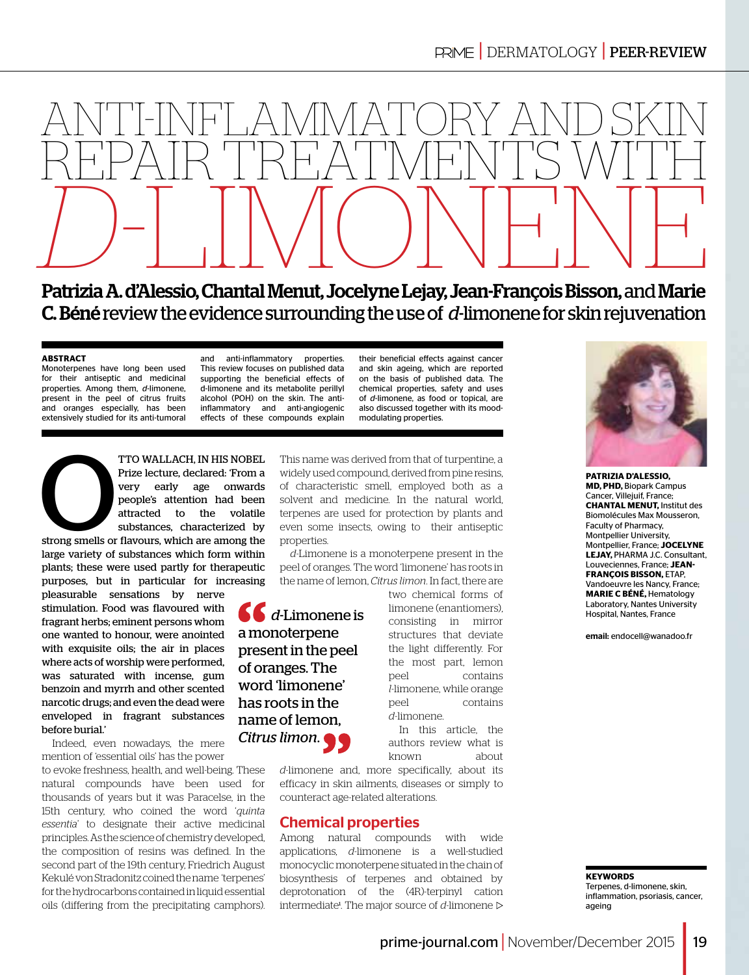

Patrizia A. d'Alessio, Chantal Menut, Jocelyne Lejay, Jean-François Bisson, and Marie C. Béné review the evidence surrounding the use of *d*-limonene for skin rejuvenation

#### **ABSTRACT**

Monoterpenes have long been used for their antiseptic and medicinal properties. Among them, *d*-limonene, present in the peel of citrus fruits and oranges especially, has been extensively studied for its anti-tumoral and anti-inflammatory properties. This review focuses on published data supporting the beneficial effects of d-limonene and its metabolite perillyl alcohol (POH) on the skin. The antiinflammatory and anti-angiogenic effects of these compounds explain

TTO WALLACH, IN HIS NOBEL<br>
Prize lecture, declared: 'From a<br>
very early age onwards<br>
people's attention had been<br>
attracted to the volatile<br>
substances, characterized by<br>
strong smells or flavours, which are among the Prize lecture, declared: 'From a very early age onwards people's attention had been attracted to the volatile substances, characterized by

large variety of substances which form within plants; these were used partly for therapeutic purposes, but in particular for increasing

pleasurable sensations by nerve stimulation. Food was flavoured with fragrant herbs; eminent persons whom one wanted to honour, were anointed with exquisite oils; the air in places where acts of worship were performed, was saturated with incense, gum benzoin and myrrh and other scented narcotic drugs; and even the dead were enveloped in fragrant substances before burial.'

Indeed, even nowadays, the mere mention of 'essential oils' has the power

to evoke freshness, health, and well-being. These natural compounds have been used for thousands of years but it was Paracelse, in the 15th century, who coined the word '*quinta essentia*' to designate their active medicinal principles. As the science of chemistry developed, the composition of resins was defined. In the second part of the 19th century, Friedrich August Kekulé von Stradonitz coined the name 'terpenes' for the hydrocarbons contained in liquid essential oils (differing from the precipitating camphors).

This name was derived from that of turpentine, a widely used compound, derived from pine resins, of characteristic smell, employed both as a solvent and medicine. In the natural world, terpenes are used for protection by plants and even some insects, owing to their antiseptic properties.

modulating properties.

their beneficial effects against cancer and skin ageing, which are reported on the basis of published data. The chemical properties, safety and uses of *d*-limonene, as food or topical, are also discussed together with its mood-

*d*-Limonene is a monoterpene present in the peel of oranges. The word 'limonene' has roots in the name of lemon, *Citrus limon*. In fact, there are

*d*-Limonene is a monoterpene present in the peel of oranges. The word 'limonene' has roots in the name of lemon, *Citrus limon*.

two chemical forms of limonene (enantiomers), consisting in mirror structures that deviate the light differently. For the most part, lemon peel contains *l*-limonene, while orange peel contains *d*-limonene. In this article, the

authors review what is known about

*d*-limonene and, more specifically, about its efficacy in skin ailments, diseases or simply to counteract age-related alterations.

# Chemical properties

Among natural compounds with wide applications, *d*-limonene is a well-studied monocyclic monoterpene situated in the chain of biosynthesis of terpenes and obtained by deprotonation of the (4R)-terpinyl cation intermediate<sup>1</sup>. The major source of d-limonene



**Patrizia d'Alessio, MD, PhD,** Biopark Campus Cancer, Villejuif, France; **Chantal Menut,** Institut des Biomolécules Max Mousseron, Faculty of Pharmacy, Montpellier University, Montpellier, France; **Jocelyne Lejay,** PHARMA J.C. Consultant, Louveciennes, France; **Jean-François Bisson,** ETAP, Vandoeuvre les Nancy, France; **Marie C Béné,** Hematology Laboratory, Nantes University Hospital, Nantes, France

email: endocell@wanadoo.fr

**KEYWORDS** Terpenes, d-limonene, skin, inflammation, psoriasis, cancer, ageing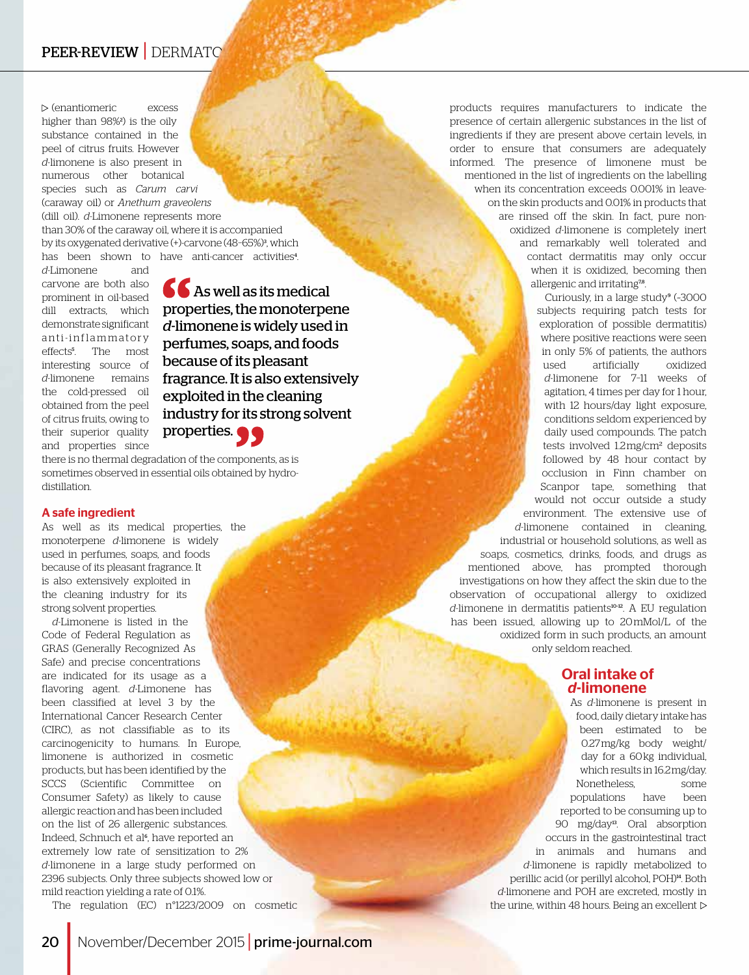# PEER-REVIEW | DERMATO

(enantiomeric excess higher than 98%<sup>2</sup> ) is the oily substance contained in the peel of citrus fruits. However *d*-limonene is also present in numerous other botanical species such as *Carum carvi* (caraway oil) or *Anethum graveolens* (dill oil). *d*-Limonene represents more than 30% of the caraway oil, where it is accompanied by its oxygenated derivative (+)-carvone (48–65%)<sup>3</sup> , which has been shown to have anti-cancer activities<sup>4</sup>.

*d*-Limonene and carvone are both also prominent in oil-based dill extracts, which demonstrate significant anti-inflammatory effects<sup>5</sup> . The most interesting source of *d*-limonene remains the cold-pressed oil obtained from the peel of citrus fruits, owing to their superior quality and properties since

**66** As well as its medical properties, the monoterpene *d*-limonene is widely used in perfumes, soaps, and foods because of its pleasant fragrance. It is also extensively exploited in the cleaning industry for its strong solvent properties.

there is no thermal degradation of the components, as is sometimes observed in essential oils obtained by hydrodistillation.

#### A safe ingredient

As well as its medical properties, the monoterpene *d*-limonene is widely used in perfumes, soaps, and foods because of its pleasant fragrance. It is also extensively exploited in the cleaning industry for its strong solvent properties.

*d*-Limonene is listed in the Code of Federal Regulation as GRAS (Generally Recognized As Safe) and precise concentrations are indicated for its usage as a flavoring agent. *d*-Limonene has been classified at level 3 by the International Cancer Research Center (CIRC), as not classifiable as to its carcinogenicity to humans. In Europe, limonene is authorized in cosmetic products, but has been identified by the SCCS (Scientific Committee on Consumer Safety) as likely to cause allergic reaction and has been included on the list of 26 allergenic substances. Indeed, Schnuch et al<sup>6</sup>, have reported an extremely low rate of sensitization to 2% *d*-limonene in a large study performed on 2396 subjects. Only three subjects showed low or mild reaction yielding a rate of 0.1%.

The regulation (EC) n°1223/2009 on cosmetic

products requires manufacturers to indicate the presence of certain allergenic substances in the list of ingredients if they are present above certain levels, in order to ensure that consumers are adequately informed. The presence of limonene must be mentioned in the list of ingredients on the labelling when its concentration exceeds 0.001% in leaveon the skin products and 0.01% in products that are rinsed off the skin. In fact, pure nonoxidized *d*-limonene is completely inert and remarkably well tolerated and contact dermatitis may only occur when it is oxidized, becoming then allergenic and irritating<sup>78</sup>.

Curiously, in a large study<sup>9</sup> (~3000 subjects requiring patch tests for exploration of possible dermatitis) where positive reactions were seen in only 5% of patients, the authors used artificially oxidized *d*-limonene for 7–11 weeks of agitation, 4 times per day for 1 hour, with 12 hours/day light exposure, conditions seldom experienced by daily used compounds. The patch tests involved 1.2 mg/cm² deposits followed by 48 hour contact by occlusion in Finn chamber on Scanpor tape, something that would not occur outside a study environment. The extensive use of *d*-limonene contained in cleaning, industrial or household solutions, as well as soaps, cosmetics, drinks, foods, and drugs as mentioned above, has prompted thorough investigations on how they affect the skin due to the observation of occupational allergy to oxidized *d*-limonene in dermatitis patients<sup>10-12</sup>. A EU regulation has been issued, allowing up to 20 mMol/L of the oxidized form in such products, an amount only seldom reached.

### Oral intake of *d*-limonene

As *d*-limonene is present in food, daily dietary intake has been estimated to be 0.27 mg/kg body weight/ day for a 60 kg individual, which results in 16.2 mg/day. Nonetheless, some populations have been reported to be consuming up to 90 mg/day13. Oral absorption occurs in the gastrointestinal tract in animals and humans and *d*-limonene is rapidly metabolized to perillic acid (or perillyl alcohol, POH)<sup>14</sup>. Both *d*-limonene and POH are excreted, mostly in the urine, within 48 hours. Being an excellent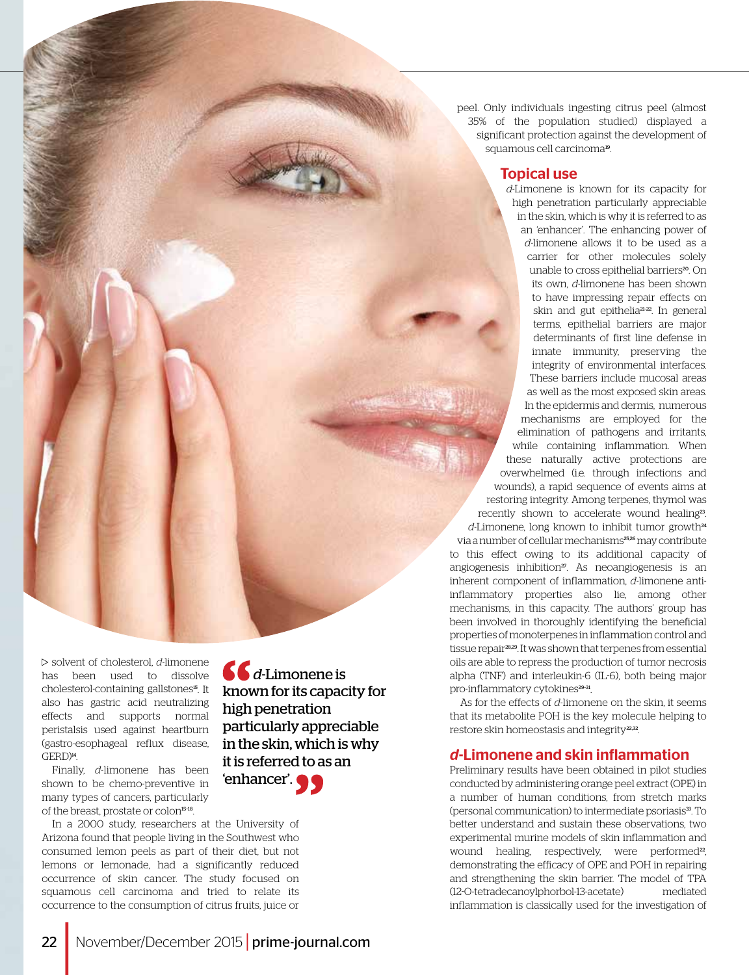peel. Only individuals ingesting citrus peel (almost 35% of the population studied) displayed a significant protection against the development of squamous cell carcinoma<sup>19</sup>.

## Topical use

*d*-Limonene is known for its capacity for high penetration particularly appreciable in the skin, which is why it is referred to as an 'enhancer'. The enhancing power of *d*-limonene allows it to be used as a carrier for other molecules solely unable to cross epithelial barriers<sup>20</sup>. On its own, *d*-limonene has been shown to have impressing repair effects on skin and gut epithelia<sup>21-22</sup>. In general terms, epithelial barriers are major determinants of first line defense in innate immunity, preserving the integrity of environmental interfaces. These barriers include mucosal areas as well as the most exposed skin areas. In the epidermis and dermis, numerous mechanisms are employed for the elimination of pathogens and irritants, while containing inflammation. When these naturally active protections are overwhelmed (i.e. through infections and wounds), a rapid sequence of events aims at restoring integrity. Among terpenes, thymol was recently shown to accelerate wound healing<sup>23</sup>. *d*-Limonene, long known to inhibit tumor growth<sup>24</sup> via a number of cellular mechanisms<sup>25,26</sup> may contribute to this effect owing to its additional capacity of angiogenesis inhibition<sup>27</sup>. As neoangiogenesis is an inherent component of inflammation, *d*-limonene antiinflammatory properties also lie, among other mechanisms, in this capacity. The authors' group has been involved in thoroughly identifying the beneficial properties of monoterpenes in inflammation control and tissue repair28,29. It was shown that terpenes from essential oils are able to repress the production of tumor necrosis alpha (TNF) and interleukin-6 (IL-6), both being major pro-inflammatory cytokines<sup>29-31</sup>.

As for the effects of *d*-limonene on the skin, it seems that its metabolite POH is the key molecule helping to restore skin homeostasis and integrity<sup>22,32</sup>.

# *d*-Limonene and skin inflammation

Preliminary results have been obtained in pilot studies conducted by administering orange peel extract (OPE) in a number of human conditions, from stretch marks (personal communication) to intermediate psoriasis<sup>33</sup>. To better understand and sustain these observations, two experimental murine models of skin inflammation and wound healing, respectively, were performed<sup>22</sup>, demonstrating the efficacy of OPE and POH in repairing and strengthening the skin barrier. The model of TPA (12-O-tetradecanoylphorbol-13-acetate) mediated inflammation is classically used for the investigation of

solvent of cholesterol, *d*-limonene has been used to dissolve cholesterol-containing gallstones<sup>15</sup>. It also has gastric acid neutralizing effects and supports normal peristalsis used against heartburn (gastro-esophageal reflux disease, GERD)<sup>14</sup>.

Finally, *d*-limonene has been shown to be chemo-preventive in many types of cancers, particularly of the breast, prostate or colon<sup>15-18</sup>.

*d*-Limonene is known for its capacity for high penetration particularly appreciable in the skin, which is why it is referred to as an 'enhancer'.

In a 2000 study, researchers at the University of Arizona found that people living in the Southwest who consumed lemon peels as part of their diet, but not lemons or lemonade, had a significantly reduced occurrence of skin cancer. The study focused on squamous cell carcinoma and tried to relate its occurrence to the consumption of citrus fruits, juice or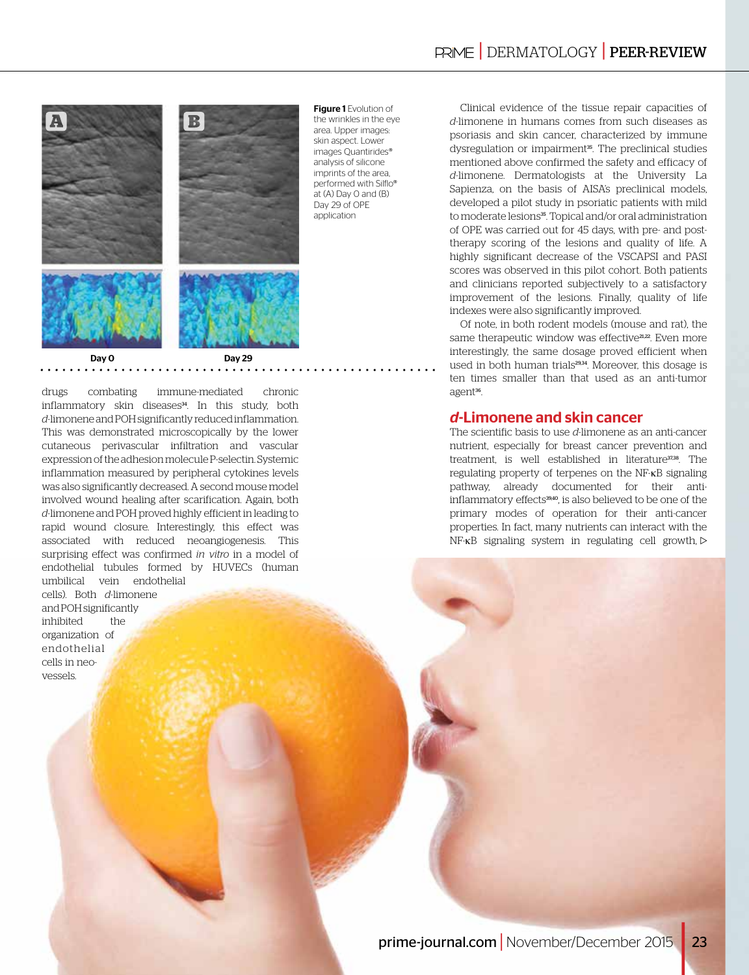

drugs combating immune-mediated chronic inflammatory skin diseases<sup>34</sup>. In this study, both *d*-limonene and POH significantly reduced inflammation. This was demonstrated microscopically by the lower cutaneous perivascular infiltration and vascular expression of the adhesion molecule P-selectin. Systemic inflammation measured by peripheral cytokines levels was also significantly decreased. A second mouse model involved wound healing after scarification. Again, both *d*-limonene and POH proved highly efficient in leading to rapid wound closure. Interestingly, this effect was associated with reduced neoangiogenesis. This surprising effect was confirmed *in vitro* in a model of endothelial tubules formed by HUVECs (human umbilical vein endothelial

cells). Both *d*-limonene and POH significantly inhibited the organization of end othelial cells in neovessels.

Figure 1 Evolution of the wrinkles in the eye area. Upper images: skin aspect. Lower images Quantirides® analysis of silicone imprints of the area, performed with Silflo® at (A) Day 0 and (B) Day 29 of OPE application

Clinical evidence of the tissue repair capacities of *d*-limonene in humans comes from such diseases as psoriasis and skin cancer, characterized by immune dysregulation or impairment<sup>35</sup>. The preclinical studies mentioned above confirmed the safety and efficacy of *d*-limonene. Dermatologists at the University La Sapienza, on the basis of AISA's preclinical models, developed a pilot study in psoriatic patients with mild to moderate lesions<sup>35</sup>. Topical and/or oral administration of OPE was carried out for 45 days, with pre- and posttherapy scoring of the lesions and quality of life. A highly significant decrease of the VSCAPSI and PASI scores was observed in this pilot cohort. Both patients and clinicians reported subjectively to a satisfactory improvement of the lesions. Finally, quality of life indexes were also significantly improved.

Of note, in both rodent models (mouse and rat), the same therapeutic window was effective<sup>21,22</sup>. Even more interestingly, the same dosage proved efficient when used in both human trials<sup>29,34</sup>. Moreover, this dosage is ten times smaller than that used as an anti-tumor agent<sup>36</sup>.

### *d*-Limonene and skin cancer

The scientific basis to use *d*-limonene as an anti-cancer nutrient, especially for breast cancer prevention and treatment, is well established in literature<sup>37,38</sup>. The regulating property of terpenes on the NF-κB signaling pathway, already documented for their antiinflammatory effects<sup>39,40</sup>, is also believed to be one of the primary modes of operation for their anti-cancer properties. In fact, many nutrients can interact with the NF-κB signaling system in regulating cell growth,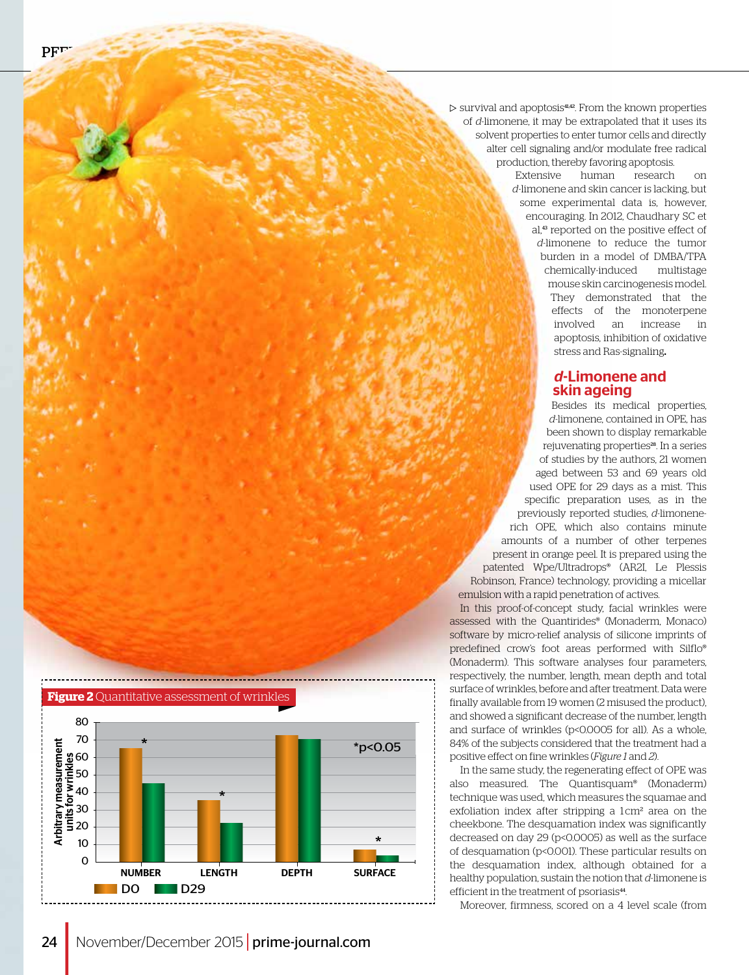$\triangleright$  survival and apoptosis<sup>41,42</sup>. From the known properties of *d*-limonene, it may be extrapolated that it uses its solvent properties to enter tumor cells and directly alter cell signaling and/or modulate free radical production, thereby favoring apoptosis.

> Extensive human research on *d*-limonene and skin cancer is lacking, but some experimental data is, however, encouraging. In 2012, Chaudhary SC et al,<sup>43</sup> reported on the positive effect of *d*-limonene to reduce the tumor burden in a model of DMBA/TPA chemically-induced multistage mouse skin carcinogenesis model. They demonstrated that the effects of the monoterpene involved an increase in apoptosis, inhibition of oxidative stress and Ras-signaling.

#### *d*-Limonene and skin ageing

Besides its medical properties, *d*-limonene, contained in OPE, has been shown to display remarkable rejuvenating properties<sup>28</sup>. In a series of studies by the authors, 21 women aged between 53 and 69 years old used OPE for 29 days as a mist. This specific preparation uses, as in the previously reported studies, *d*-limonenerich OPE, which also contains minute amounts of a number of other terpenes present in orange peel. It is prepared using the patented Wpe/Ultradrops® (AR2I, Le Plessis Robinson, France) technology, providing a micellar emulsion with a rapid penetration of actives.

In this proof-of-concept study, facial wrinkles were assessed with the Quantirides® (Monaderm, Monaco) software by micro-relief analysis of silicone imprints of predefined crow's foot areas performed with Silflo® (Monaderm). This software analyses four parameters, respectively, the number, length, mean depth and total surface of wrinkles, before and after treatment. Data were finally available from 19 women (2 misused the product), and showed a significant decrease of the number, length and surface of wrinkles (p<0.0005 for all). As a whole, 84% of the subjects considered that the treatment had a positive effect on fine wrinkles (*Figure 1* and *2*).

In the same study, the regenerating effect of OPE was also measured. The Quantisquam® (Monaderm) technique was used, which measures the squamae and exfoliation index after stripping a 1cm<sup>2</sup> area on the cheekbone. The desquamation index was significantly decreased on day 29 (p<0.0005) as well as the surface of desquamation (p<0.001). These particular results on the desquamation index, although obtained for a healthy population, sustain the notion that *d*-limonene is efficient in the treatment of psoriasis<sup>44</sup>.

Moreover, firmness, scored on a 4 level scale (from